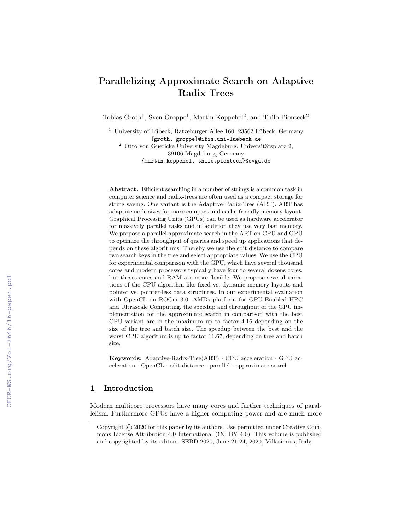# Parallelizing Approximate Search on Adaptive Radix Trees

Tobias Groth<sup>1</sup>, Sven Groppe<sup>1</sup>, Martin Koppehel<sup>2</sup>, and Thilo Pionteck<sup>2</sup>

<sup>1</sup> University of Lübeck, Ratzeburger Allee 160, 23562 Lübeck, Germany {groth, groppe}@ifis.uni-luebeck.de <sup>2</sup> Otto von Guericke University Magdeburg, Universitätsplatz 2, 39106 Magdeburg, Germany {martin.koppehel, thilo.pionteck}@ovgu.de

Abstract. Efficient searching in a number of strings is a common task in computer science and radix-trees are often used as a compact storage for string saving. One variant is the Adaptive-Radix-Tree (ART). ART has adaptive node sizes for more compact and cache-friendly memory layout. Graphical Processing Units (GPUs) can be used as hardware accelerator for massively parallel tasks and in addition they use very fast memory. We propose a parallel approximate search in the ART on CPU and GPU to optimize the throughput of queries and speed up applications that depends on these algorithms. Thereby we use the edit distance to compare two search keys in the tree and select appropriate values. We use the CPU for experimental comparison with the GPU, which have several thousand cores and modern processors typically have four to several dozens cores, but theses cores and RAM are more flexible. We propose several variations of the CPU algorithm like fixed vs. dynamic memory layouts and pointer vs. pointer-less data structures. In our experimental evaluation with OpenCL on ROCm 3.0, AMDs platform for GPU-Enabled HPC and Ultrascale Computing, the speedup and throughput of the GPU implementation for the approximate search in comparison with the best CPU variant are in the maximum up to factor 4.16 depending on the size of the tree and batch size. The speedup between the best and the worst CPU algorithm is up to factor 11.67, depending on tree and batch size.

Keywords: Adaptive-Radix-Tree(ART) · CPU acceleration · GPU acceleration · OpenCL · edit-distance · parallel · approximate search

## 1 Introduction

Modern multicore processors have many cores and further techniques of parallelism. Furthermore GPUs have a higher computing power and are much more

Copyright © 2020 for this paper by its authors. Use permitted under Creative Commons License Attribution 4.0 International (CC BY 4.0). This volume is published and copyrighted by its editors. SEBD 2020, June 21-24, 2020, Villasimius, Italy.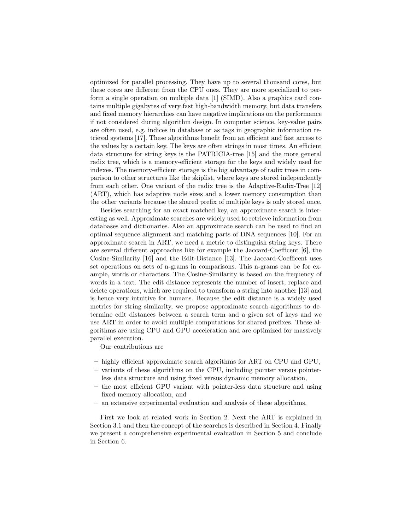optimized for parallel processing. They have up to several thousand cores, but these cores are different from the CPU ones. They are more specialized to perform a single operation on multiple data [1] (SIMD). Also a graphics card contains multiple gigabytes of very fast high-bandwidth memory, but data transfers and fixed memory hierarchies can have negative implications on the performance if not considered during algorithm design. In computer science, key-value pairs are often used, e.g. indices in database or as tags in geographic information retrieval systems [17]. These algorithms benefit from an efficient and fast access to the values by a certain key. The keys are often strings in most times. An efficient data structure for string keys is the PATRICIA-tree [15] and the more general radix tree, which is a memory-efficient storage for the keys and widely used for indexes. The memory-efficient storage is the big advantage of radix trees in comparison to other structures like the skiplist, where keys are stored independently from each other. One variant of the radix tree is the Adaptive-Radix-Tree [12] (ART), which has adaptive node sizes and a lower memory consumption than the other variants because the shared prefix of multiple keys is only stored once.

Besides searching for an exact matched key, an approximate search is interesting as well. Approximate searches are widely used to retrieve information from databases and dictionaries. Also an approximate search can be used to find an optimal sequence alignment and matching parts of DNA sequences [10]. For an approximate search in ART, we need a metric to distinguish string keys. There are several different approaches like for example the Jaccard-Coefficent [6], the Cosine-Similarity [16] and the Edit-Distance [13]. The Jaccard-Coefficent uses set operations on sets of n-grams in comparisons. This n-grams can be for example, words or characters. The Cosine-Similarity is based on the frequency of words in a text. The edit distance represents the number of insert, replace and delete operations, which are required to transform a string into another [13] and is hence very intuitive for humans. Because the edit distance is a widely used metrics for string similarity, we propose approximate search algorithms to determine edit distances between a search term and a given set of keys and we use ART in order to avoid multiple computations for shared prefixes. These algorithms are using CPU and GPU acceleration and are optimized for massively parallel execution.

Our contributions are

- highly efficient approximate search algorithms for ART on CPU and GPU,
- variants of these algorithms on the CPU, including pointer versus pointerless data structure and using fixed versus dynamic memory allocation,
- the most efficient GPU variant with pointer-less data structure and using fixed memory allocation, and
- an extensive experimental evaluation and analysis of these algorithms.

First we look at related work in Section 2. Next the ART is explained in Section 3.1 and then the concept of the searches is described in Section 4. Finally we present a comprehensive experimental evaluation in Section 5 and conclude in Section 6.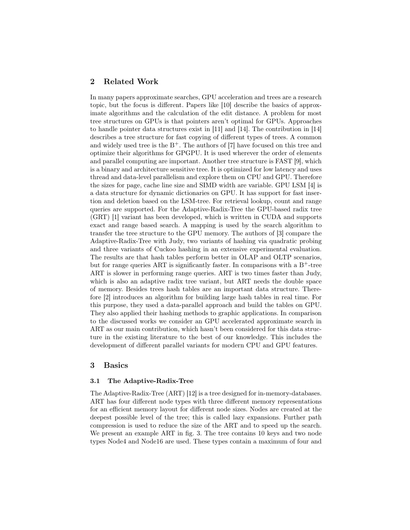## 2 Related Work

In many papers approximate searches, GPU acceleration and trees are a research topic, but the focus is different. Papers like [10] describe the basics of approximate algorithms and the calculation of the edit distance. A problem for most tree structures on GPUs is that pointers aren't optimal for GPUs. Approaches to handle pointer data structures exist in [11] and [14]. The contribution in [14] describes a tree structure for fast copying of different types of trees. A common and widely used tree is the  $B^+$ . The authors of [7] have focused on this tree and optimize their algorithms for GPGPU. It is used wherever the order of elements and parallel computing are important. Another tree structure is FAST [9], which is a binary and architecture sensitive tree. It is optimized for low latency and uses thread and data-level parallelism and explore them on CPU and GPU. Therefore the sizes for page, cache line size and SIMD width are variable. GPU LSM [4] is a data structure for dynamic dictionaries on GPU. It has support for fast insertion and deletion based on the LSM-tree. For retrieval lookup, count and range queries are supported. For the Adaptive-Radix-Tree the GPU-based radix tree (GRT) [1] variant has been developed, which is written in CUDA and supports exact and range based search. A mapping is used by the search algorithm to transfer the tree structure to the GPU memory. The authors of [3] compare the Adaptive-Radix-Tree with Judy, two variants of hashing via quadratic probing and three variants of Cuckoo hashing in an extensive experimental evaluation. The results are that hash tables perform better in OLAP and OLTP scenarios, but for range queries ART is significantly faster. In comparisons with a  $B^+$ -tree ART is slower in performing range queries. ART is two times faster than Judy, which is also an adaptive radix tree variant, but ART needs the double space of memory. Besides trees hash tables are an important data structure. Therefore [2] introduces an algorithm for building large hash tables in real time. For this purpose, they used a data-parallel approach and build the tables on GPU. They also applied their hashing methods to graphic applications. In comparison to the discussed works we consider an GPU accelerated approximate search in ART as our main contribution, which hasn't been considered for this data structure in the existing literature to the best of our knowledge. This includes the development of different parallel variants for modern CPU and GPU features.

## 3 Basics

#### 3.1 The Adaptive-Radix-Tree

The Adaptive-Radix-Tree (ART) [12] is a tree designed for in-memory-databases. ART has four different node types with three different memory representations for an efficient memory layout for different node sizes. Nodes are created at the deepest possible level of the tree; this is called lazy expansions. Further path compression is used to reduce the size of the ART and to speed up the search. We present an example ART in fig. 3. The tree contains 10 keys and two node types Node4 and Node16 are used. These types contain a maximum of four and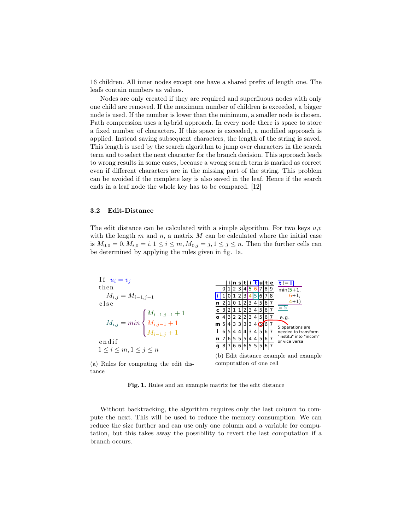16 children. All inner nodes except one have a shared prefix of length one. The leafs contain numbers as values.

Nodes are only created if they are required and superfluous nodes with only one child are removed. If the maximum number of children is exceeded, a bigger node is used. If the number is lower than the minimum, a smaller node is chosen. Path compression uses a hybrid approach. In every node there is space to store a fixed number of characters. If this space is exceeded, a modified approach is applied. Instead saving subsequent characters, the length of the string is saved. This length is used by the search algorithm to jump over characters in the search term and to select the next character for the branch decision. This approach leads to wrong results in some cases, because a wrong search term is marked as correct even if different characters are in the missing part of the string. This problem can be avoided if the complete key is also saved in the leaf. Hence if the search ends in a leaf node the whole key has to be compared. [12]

#### 3.2 Edit-Distance

The edit distance can be calculated with a simple algorithm. For two keys  $u, v$ with the length  $m$  and  $n$ , a matrix  $M$  can be calculated where the initial case is  $M_{0,0} = 0, M_{i,0} = i, 1 \le i \le m, M_{0,j} = j, 1 \le j \le n$ . Then the further cells can be determined by applying the rules given in fig. 1a.



(a) Rules for computing the edit distance

computation of one cell

Fig. 1. Rules and an example matrix for the edit distance

Without backtracking, the algorithm requires only the last column to compute the next. This will be used to reduce the memory consumption. We can reduce the size further and can use only one column and a variable for computation, but this takes away the possibility to revert the last computation if a branch occurs.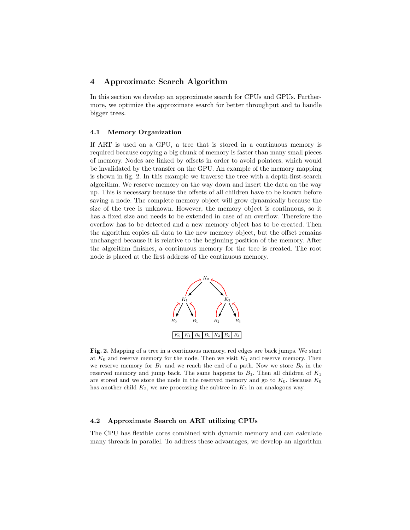## 4 Approximate Search Algorithm

In this section we develop an approximate search for CPUs and GPUs. Furthermore, we optimize the approximate search for better throughput and to handle bigger trees.

#### 4.1 Memory Organization

If ART is used on a GPU, a tree that is stored in a continuous memory is required because copying a big chunk of memory is faster than many small pieces of memory. Nodes are linked by offsets in order to avoid pointers, which would be invalidated by the transfer on the GPU. An example of the memory mapping is shown in fig. 2. In this example we traverse the tree with a depth-first-search algorithm. We reserve memory on the way down and insert the data on the way up. This is necessary because the offsets of all children have to be known before saving a node. The complete memory object will grow dynamically because the size of the tree is unknown. However, the memory object is continuous, so it has a fixed size and needs to be extended in case of an overflow. Therefore the overflow has to be detected and a new memory object has to be created. Then the algorithm copies all data to the new memory object, but the offset remains unchanged because it is relative to the beginning position of the memory. After the algorithm finishes, a continuous memory for the tree is created. The root node is placed at the first address of the continuous memory.



Fig. 2. Mapping of a tree in a continuous memory, red edges are back jumps. We start at  $K_0$  and reserve memory for the node. Then we visit  $K_1$  and reserve memory. Then we reserve memory for  $B_1$  and we reach the end of a path. Now we store  $B_0$  in the reserved memory and jump back. The same happens to  $B_1$ . Then all children of  $K_1$ are stored and we store the node in the reserved memory and go to  $K_0$ . Because  $K_0$ has another child  $K_2$ , we are processing the subtree in  $K_2$  in an analogous way.

#### 4.2 Approximate Search on ART utilizing CPUs

The CPU has flexible cores combined with dynamic memory and can calculate many threads in parallel. To address these advantages, we develop an algorithm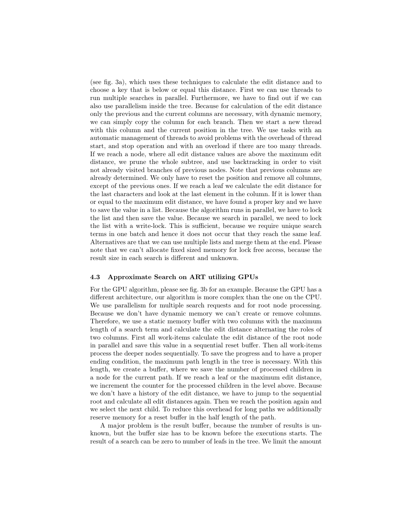(see fig. 3a), which uses these techniques to calculate the edit distance and to choose a key that is below or equal this distance. First we can use threads to run multiple searches in parallel. Furthermore, we have to find out if we can also use parallelism inside the tree. Because for calculation of the edit distance only the previous and the current columns are necessary, with dynamic memory, we can simply copy the column for each branch. Then we start a new thread with this column and the current position in the tree. We use tasks with an automatic management of threads to avoid problems with the overhead of thread start, and stop operation and with an overload if there are too many threads. If we reach a node, where all edit distance values are above the maximum edit distance, we prune the whole subtree, and use backtracking in order to visit not already visited branches of previous nodes. Note that previous columns are already determined. We only have to reset the position and remove all columns, except of the previous ones. If we reach a leaf we calculate the edit distance for the last characters and look at the last element in the column. If it is lower than or equal to the maximum edit distance, we have found a proper key and we have to save the value in a list. Because the algorithm runs in parallel, we have to lock the list and then save the value. Because we search in parallel, we need to lock the list with a write-lock. This is sufficient, because we require unique search terms in one batch and hence it does not occur that they reach the same leaf. Alternatives are that we can use multiple lists and merge them at the end. Please note that we can't allocate fixed sized memory for lock free access, because the result size in each search is different and unknown.

#### 4.3 Approximate Search on ART utilizing GPUs

For the GPU algorithm, please see fig. 3b for an example. Because the GPU has a different architecture, our algorithm is more complex than the one on the CPU. We use parallelism for multiple search requests and for root node processing. Because we don't have dynamic memory we can't create or remove columns. Therefore, we use a static memory buffer with two columns with the maximum length of a search term and calculate the edit distance alternating the roles of two columns. First all work-items calculate the edit distance of the root node in parallel and save this value in a sequential reset buffer. Then all work-items process the deeper nodes sequentially. To save the progress and to have a proper ending condition, the maximum path length in the tree is necessary. With this length, we create a buffer, where we save the number of processed children in a node for the current path. If we reach a leaf or the maximum edit distance, we increment the counter for the processed children in the level above. Because we don't have a history of the edit distance, we have to jump to the sequential root and calculate all edit distances again. Then we reach the position again and we select the next child. To reduce this overhead for long paths we additionally reserve memory for a reset buffer in the half length of the path.

A major problem is the result buffer, because the number of results is unknown, but the buffer size has to be known before the executions starts. The result of a search can be zero to number of leafs in the tree. We limit the amount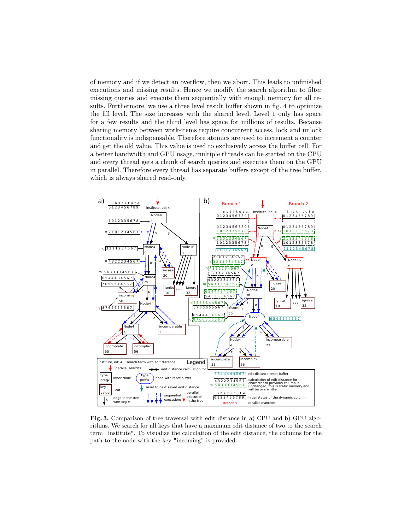of memory and if we detect an overflow, then we abort. This leads to unfinished executions and missing results. Hence we modify the search algorithm to filter missing queries and execute them sequentially with enough memory for all results. Furthermore, we use a three level result buffer shown in fig. 4 to optimize the fill level. The size increases with the shared level. Level 1 only has space for a few results and the third level has space for millions of results. Because sharing memory between work-items require concurrent access, lock and unlock functionality is indispensable. Therefore atomics are used to increment a counter and get the old value. This value is used to exclusively access the buffer cell. For a better bandwidth and GPU usage, multiple threads can be started on the CPU and every thread gets a chunk of search queries and executes them on the GPU in parallel. Therefore every thread has separate buffers except of the tree buffer, which is always shared read-only.



Fig. 3. Comparison of tree traversal with edit distance in a) CPU and b) GPU algorithms. We search for all keys that have a maximum edit distance of two to the search term "institute". To visualize the calculation of the edit distance, the columns for the path to the node with the key "incoming" is provided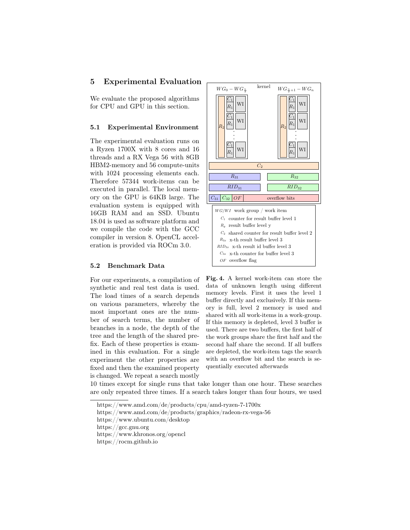## 5 Experimental Evaluation

We evaluate the proposed algorithms for CPU and GPU in this section.

#### 5.1 Experimental Environment

The experimental evaluation runs on a Ryzen 1700X with 8 cores and 16 threads and a RX Vega 56 with 8GB HBM2-memory and 56 compute-units with 1024 processing elements each. Therefore 57344 work-items can be executed in parallel. The local memory on the GPU is 64KB large. The evaluation system is equipped with 16GB RAM and an SSD. Ubuntu 18.04 is used as software platform and we compile the code with the GCC compiler in version 8. OpenCL acceleration is provided via ROCm 3.0.

#### 5.2 Benchmark Data

For our experiments, a compilation of synthetic and real test data is used. The load times of a search depends on various parameters, whereby the most important ones are the number of search terms, the number of branches in a node, the depth of the tree and the length of the shared prefix. Each of these properties is examined in this evaluation. For a single experiment the other properties are fixed and then the examined property is changed. We repeat a search mostly



Fig. 4. A kernel work-item can store the data of unknown length using different memory levels. First it uses the level 1 buffer directly and exclusively. If this memory is full, level 2 memory is used and shared with all work-items in a work-group. If this memory is depleted, level 3 buffer is used. There are two buffers, the first half of the work groups share the first half and the second half share the second. If all buffers are depleted, the work-item tags the search with an overflow bit and the search is sequentially executed afterwards

10 times except for single runs that take longer than one hour. These searches are only repeated three times. If a search takes longer than four hours, we used

- https://www.amd.com/de/products/graphics/radeon-rx-vega-56
- https://www.ubuntu.com/desktop

https://gcc.gnu.org

https://www.amd.com/de/products/cpu/amd-ryzen-7-1700x

https://www.khronos.org/opencl

https://rocm.github.io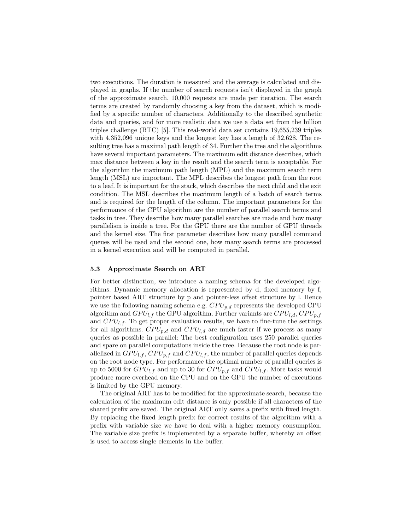two executions. The duration is measured and the average is calculated and displayed in graphs. If the number of search requests isn't displayed in the graph of the approximate search, 10,000 requests are made per iteration. The search terms are created by randomly choosing a key from the dataset, which is modified by a specific number of characters. Additionally to the described synthetic data and queries, and for more realistic data we use a data set from the billion triples challenge (BTC) [5]. This real-world data set contains 19,655,239 triples with 4,352,096 unique keys and the longest key has a length of 32,628. The resulting tree has a maximal path length of 34. Further the tree and the algorithms have several important parameters. The maximum edit distance describes, which max distance between a key in the result and the search term is acceptable. For the algorithm the maximum path length (MPL) and the maximum search term length (MSL) are important. The MPL describes the longest path from the root to a leaf. It is important for the stack, which describes the next child and the exit condition. The MSL describes the maximum length of a batch of search terms and is required for the length of the column. The important parameters for the performance of the CPU algorithm are the number of parallel search terms and tasks in tree. They describe how many parallel searches are made and how many parallelism is inside a tree. For the GPU there are the number of GPU threads and the kernel size. The first parameter describes how many parallel command queues will be used and the second one, how many search terms are processed in a kernel execution and will be computed in parallel.

#### 5.3 Approximate Search on ART

For better distinction, we introduce a naming schema for the developed algorithms. Dynamic memory allocation is represented by d, fixed memory by f, pointer based ART structure by p and pointer-less offset structure by l. Hence we use the following naming schema e.g.  $CPU_{p,d}$  represents the developed CPU algorithm and  $GPU_{l,f}$  the GPU algorithm. Further variants are  $CPU_{l,d}, CPU_{p,f}$ and  $CPU_{l,f}$ . To get proper evaluation results, we have to fine-tune the settings for all algorithms.  $CPU_{p,d}$  and  $CPU_{l,d}$  are much faster if we process as many queries as possible in parallel: The best configuration uses 250 parallel queries and spare on parallel computations inside the tree. Because the root node is parallelized in  $GPU_{l,f}, CPU_{p,f}$  and  $CPU_{l,f}$ , the number of parallel queries depends on the root node type. For performance the optimal number of parallel queries is up to 5000 for  $GPU_{l,f}$  and up to 30 for  $CPU_{p,f}$  and  $CPU_{l,f}$ . More tasks would produce more overhead on the CPU and on the GPU the number of executions is limited by the GPU memory.

The original ART has to be modified for the approximate search, because the calculation of the maximum edit distance is only possible if all characters of the shared prefix are saved. The original ART only saves a prefix with fixed length. By replacing the fixed length prefix for correct results of the algorithm with a prefix with variable size we have to deal with a higher memory consumption. The variable size prefix is implemented by a separate buffer, whereby an offset is used to access single elements in the buffer.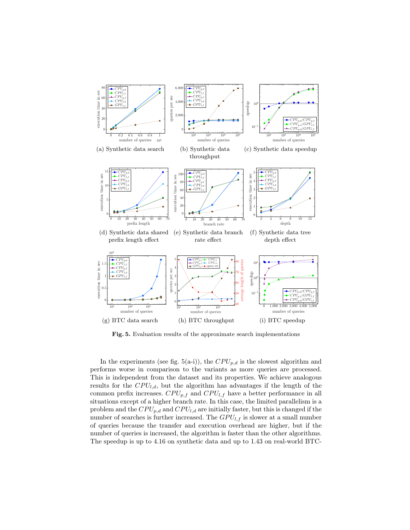

Fig. 5. Evaluation results of the approximate search implementations

In the experiments (see fig. 5(a-i)), the  $CPU_{p,d}$  is the slowest algorithm and performs worse in comparison to the variants as more queries are processed. This is independent from the dataset and its properties. We achieve analogous results for the  $CPU_{l,d}$ , but the algorithm has advantages if the length of the common prefix increases.  $CPU_{p,f}$  and  $CPU_{l,f}$  have a better performance in all situations except of a higher branch rate. In this case, the limited parallelism is a problem and the  $CPU_{p,d}$  and  $CPU_{l,d}$  are initially faster, but this is changed if the number of searches is further increased. The  $GPU_{l,f}$  is slower at a small number of queries because the transfer and execution overhead are higher, but if the number of queries is increased, the algorithm is faster than the other algorithms. The speedup is up to 4.16 on synthetic data and up to 1.43 on real-world BTC-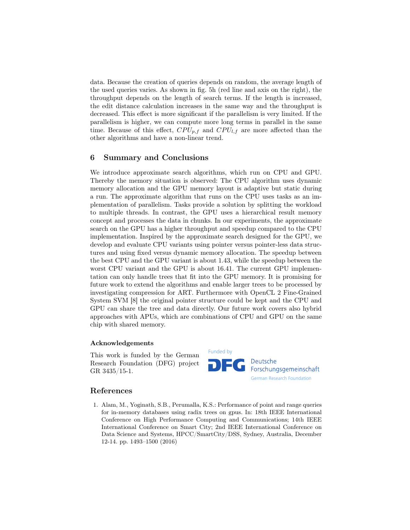data. Because the creation of queries depends on random, the average length of the used queries varies. As shown in fig. 5h (red line and axis on the right), the throughput depends on the length of search terms. If the length is increased, the edit distance calculation increases in the same way and the throughput is decreased. This effect is more significant if the parallelism is very limited. If the parallelism is higher, we can compute more long terms in parallel in the same time. Because of this effect,  $CPU_{p,f}$  and  $CPU_{l,f}$  are more affected than the other algorithms and have a non-linear trend.

## 6 Summary and Conclusions

We introduce approximate search algorithms, which run on CPU and GPU. Thereby the memory situation is observed: The CPU algorithm uses dynamic memory allocation and the GPU memory layout is adaptive but static during a run. The approximate algorithm that runs on the CPU uses tasks as an implementation of parallelism. Tasks provide a solution by splitting the workload to multiple threads. In contrast, the GPU uses a hierarchical result memory concept and processes the data in chunks. In our experiments, the approximate search on the GPU has a higher throughput and speedup compared to the CPU implementation. Inspired by the approximate search designed for the GPU, we develop and evaluate CPU variants using pointer versus pointer-less data structures and using fixed versus dynamic memory allocation. The speedup between the best CPU and the GPU variant is about 1.43, while the speedup between the worst CPU variant and the GPU is about 16.41. The current GPU implementation can only handle trees that fit into the GPU memory. It is promising for future work to extend the algorithms and enable larger trees to be processed by investigating compression for ART. Furthermore with OpenCL 2 Fine-Grained System SVM [8] the original pointer structure could be kept and the CPU and GPU can share the tree and data directly. Our future work covers also hybrid approaches with APUs, which are combinations of CPU and GPU on the same chip with shared memory.

#### Acknowledgements

This work is funded by the German Research Foundation (DFG) project GR 3435/15-1.

# Funded by Deutsche Forschungsgemeinschaft German Research Foundation

#### References

1. Alam, M., Yoginath, S.B., Perumalla, K.S.: Performance of point and range queries for in-memory databases using radix trees on gpus. In: 18th IEEE International Conference on High Performance Computing and Communications; 14th IEEE International Conference on Smart City; 2nd IEEE International Conference on Data Science and Systems, HPCC/SmartCity/DSS, Sydney, Australia, December 12-14. pp. 1493–1500 (2016)